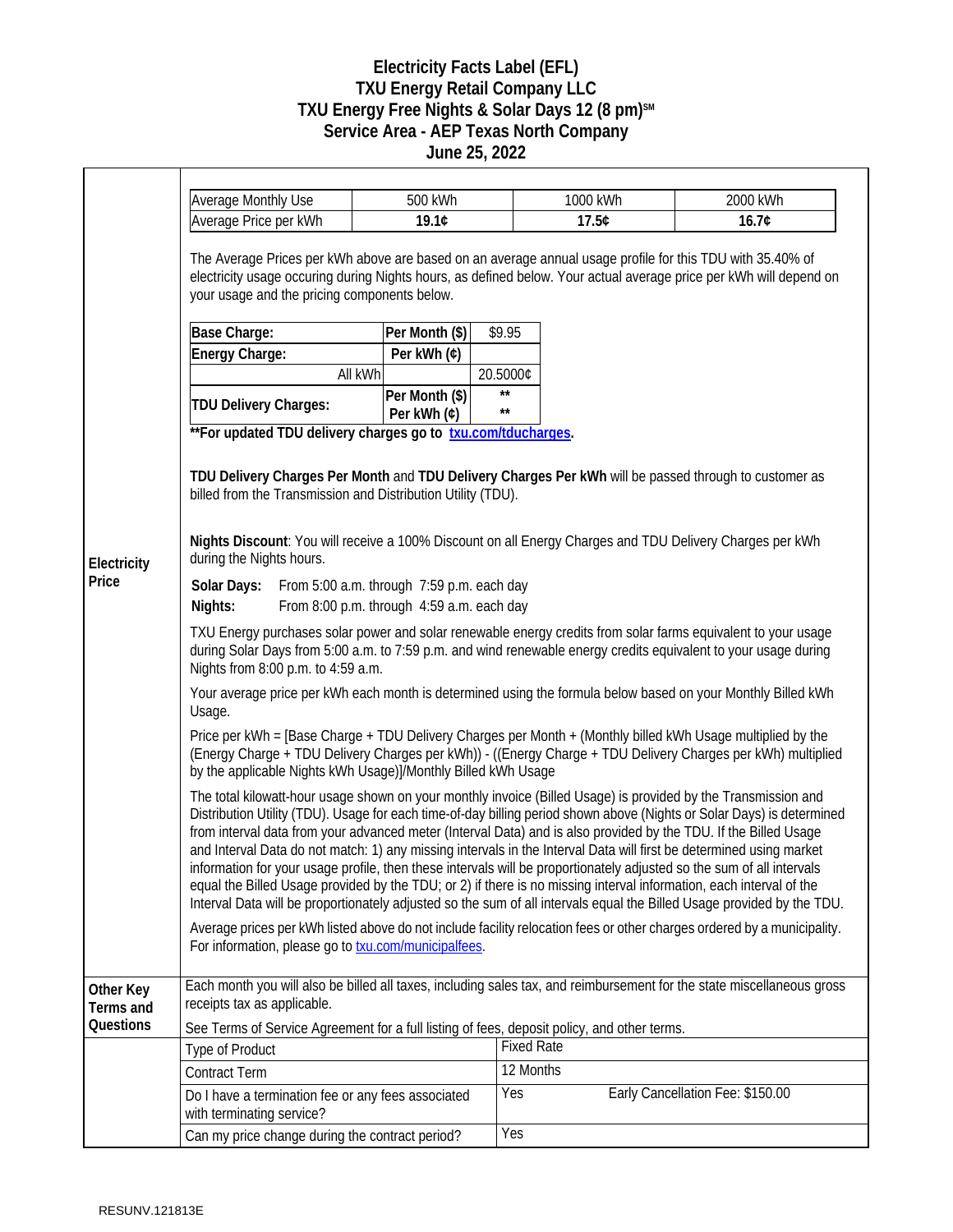## **Electricity Facts Label (EFL) TXU Energy Retail Company LLC TXU Energy Free Nights & Solar Days 12 (8 pm)SM Service Area - AEP Texas North Company June 25, 2022**

|                        | <b>Average Monthly Use</b>                                                                                                                                                                                                                                                                                                                                                                                                                                                                                                                                                                                                                                                                                                                                                                                                                                                                                                                                                                                                                                                                                                                                                                                                                | 500 kWh                       |                              | 1000 kWh | 2000 kWh                         |  |
|------------------------|-------------------------------------------------------------------------------------------------------------------------------------------------------------------------------------------------------------------------------------------------------------------------------------------------------------------------------------------------------------------------------------------------------------------------------------------------------------------------------------------------------------------------------------------------------------------------------------------------------------------------------------------------------------------------------------------------------------------------------------------------------------------------------------------------------------------------------------------------------------------------------------------------------------------------------------------------------------------------------------------------------------------------------------------------------------------------------------------------------------------------------------------------------------------------------------------------------------------------------------------|-------------------------------|------------------------------|----------|----------------------------------|--|
|                        | Average Price per kWh                                                                                                                                                                                                                                                                                                                                                                                                                                                                                                                                                                                                                                                                                                                                                                                                                                                                                                                                                                                                                                                                                                                                                                                                                     | 19.1¢                         |                              | 17.5¢    | 16.7¢                            |  |
| Electricity<br>Price   | The Average Prices per kWh above are based on an average annual usage profile for this TDU with 35.40% of<br>electricity usage occuring during Nights hours, as defined below. Your actual average price per kWh will depend on<br>your usage and the pricing components below.<br>\$9.95<br>Base Charge:<br>Per Month (\$)                                                                                                                                                                                                                                                                                                                                                                                                                                                                                                                                                                                                                                                                                                                                                                                                                                                                                                               |                               |                              |          |                                  |  |
|                        | Energy Charge:                                                                                                                                                                                                                                                                                                                                                                                                                                                                                                                                                                                                                                                                                                                                                                                                                                                                                                                                                                                                                                                                                                                                                                                                                            | Per kWh (¢)                   |                              |          |                                  |  |
|                        |                                                                                                                                                                                                                                                                                                                                                                                                                                                                                                                                                                                                                                                                                                                                                                                                                                                                                                                                                                                                                                                                                                                                                                                                                                           | All kWh                       | 20.5000¢                     |          |                                  |  |
|                        | TDU Delivery Charges:<br>**For updated TDU delivery charges go to txu.com/tducharges.                                                                                                                                                                                                                                                                                                                                                                                                                                                                                                                                                                                                                                                                                                                                                                                                                                                                                                                                                                                                                                                                                                                                                     | Per Month (\$)<br>Per kWh (¢) | $\star\star$<br>$\star\star$ |          |                                  |  |
|                        | TDU Delivery Charges Per Month and TDU Delivery Charges Per kWh will be passed through to customer as<br>billed from the Transmission and Distribution Utility (TDU).<br>Nights Discount: You will receive a 100% Discount on all Energy Charges and TDU Delivery Charges per kWh<br>during the Nights hours.<br>Solar Days: From 5:00 a.m. through 7:59 p.m. each day<br>From 8:00 p.m. through 4:59 a.m. each day<br>Nights:<br>TXU Energy purchases solar power and solar renewable energy credits from solar farms equivalent to your usage<br>during Solar Days from 5:00 a.m. to 7:59 p.m. and wind renewable energy credits equivalent to your usage during<br>Nights from 8:00 p.m. to 4:59 a.m.<br>Your average price per kWh each month is determined using the formula below based on your Monthly Billed kWh<br>Usage.<br>Price per kWh = [Base Charge + TDU Delivery Charges per Month + (Monthly billed kWh Usage multiplied by the                                                                                                                                                                                                                                                                                         |                               |                              |          |                                  |  |
|                        | (Energy Charge + TDU Delivery Charges per kWh)) - ((Energy Charge + TDU Delivery Charges per kWh) multiplied<br>by the applicable Nights kWh Usage)]/Monthly Billed kWh Usage<br>The total kilowatt-hour usage shown on your monthly invoice (Billed Usage) is provided by the Transmission and<br>Distribution Utility (TDU). Usage for each time-of-day billing period shown above (Nights or Solar Days) is determined<br>from interval data from your advanced meter (Interval Data) and is also provided by the TDU. If the Billed Usage<br>and Interval Data do not match: 1) any missing intervals in the Interval Data will first be determined using market<br>information for your usage profile, then these intervals will be proportionately adjusted so the sum of all intervals<br>equal the Billed Usage provided by the TDU; or 2) if there is no missing interval information, each interval of the<br>Interval Data will be proportionately adjusted so the sum of all intervals equal the Billed Usage provided by the TDU.<br>Average prices per kWh listed above do not include facility relocation fees or other charges ordered by a municipality.<br>For information, please go to <b>txu.com/municipalfees</b> . |                               |                              |          |                                  |  |
| Other Key<br>Terms and | Each month you will also be billed all taxes, including sales tax, and reimbursement for the state miscellaneous gross<br>receipts tax as applicable.                                                                                                                                                                                                                                                                                                                                                                                                                                                                                                                                                                                                                                                                                                                                                                                                                                                                                                                                                                                                                                                                                     |                               |                              |          |                                  |  |
| Questions              | See Terms of Service Agreement for a full listing of fees, deposit policy, and other terms.                                                                                                                                                                                                                                                                                                                                                                                                                                                                                                                                                                                                                                                                                                                                                                                                                                                                                                                                                                                                                                                                                                                                               |                               |                              |          |                                  |  |
|                        | <b>Type of Product</b>                                                                                                                                                                                                                                                                                                                                                                                                                                                                                                                                                                                                                                                                                                                                                                                                                                                                                                                                                                                                                                                                                                                                                                                                                    |                               | <b>Fixed Rate</b>            |          |                                  |  |
|                        | <b>Contract Term</b>                                                                                                                                                                                                                                                                                                                                                                                                                                                                                                                                                                                                                                                                                                                                                                                                                                                                                                                                                                                                                                                                                                                                                                                                                      |                               | 12 Months                    |          |                                  |  |
|                        | Do I have a termination fee or any fees associated<br>with terminating service?                                                                                                                                                                                                                                                                                                                                                                                                                                                                                                                                                                                                                                                                                                                                                                                                                                                                                                                                                                                                                                                                                                                                                           |                               | Yes                          |          | Early Cancellation Fee: \$150.00 |  |
|                        | Can my price change during the contract period?                                                                                                                                                                                                                                                                                                                                                                                                                                                                                                                                                                                                                                                                                                                                                                                                                                                                                                                                                                                                                                                                                                                                                                                           |                               | Yes                          |          |                                  |  |